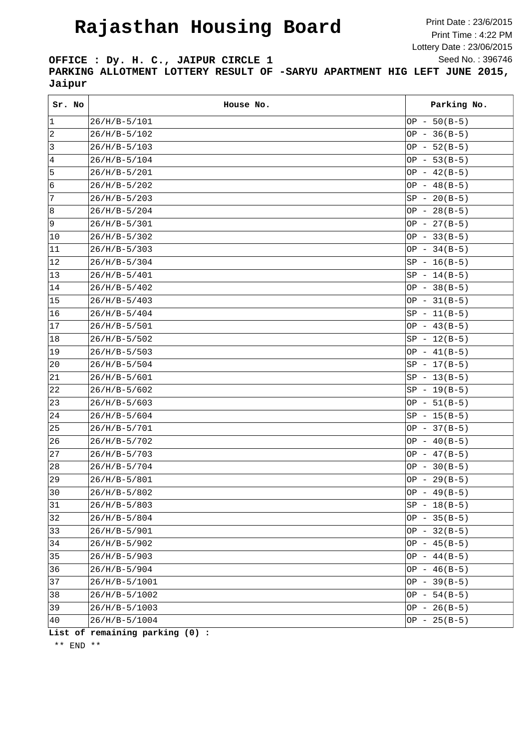## **Rajasthan Housing Board**

Print Date : 23/6/2015 Print Time : 4:22 PM Lottery Date : 23/06/2015 Seed No. : 396746

**OFFICE : Dy. H. C., JAIPUR CIRCLE 1 PARKING ALLOTMENT LOTTERY RESULT OF -SARYU APARTMENT HIG LEFT JUNE 2015, Jaipur**

| Sr. No           | House No.       | Parking No.    |
|------------------|-----------------|----------------|
| 1                | $26/H/B-5/101$  | $OP - 50(B-5)$ |
| $\sqrt{2}$       | $26/H/B-5/102$  | OP - $36(B-5)$ |
| $\mathbf{3}$     | $26/H/B-5/103$  | $OP - 52(B-5)$ |
| $\,4$            | $26/H/B-5/104$  | $OP - 53(B-5)$ |
| 5                | $26/H/B-5/201$  | OP - $42(B-5)$ |
| 6                | $26/H/B-5/202$  | OP - $48(B-5)$ |
| $\boldsymbol{7}$ | $26/H/B-5/203$  | $SP - 20(B-5)$ |
| 8                | $26/H/B-5/204$  | $OP - 28(B-5)$ |
| 9                | $26/H/B-5/301$  | $OP - 27(B-5)$ |
| 10               | $26/H/B-5/302$  | $OP - 33(B-5)$ |
| 11               | $26/H/B-5/303$  | OP $-34(B-5)$  |
| 12               | $26/H/B-5/304$  | $SP - 16(B-5)$ |
| 13               | $26/H/B-5/401$  | $SP - 14(B-5)$ |
| 14               | $26/H/B-5/402$  | OP - $38(B-5)$ |
| 15               | $26/H/B-5/403$  | $OP - 31(B-5)$ |
| 16               | $26/H/B-5/404$  | $SP - 11(B-5)$ |
| 17               | $26/H/B-5/501$  | $OP - 43(B-5)$ |
| 18               | $26/H/B-5/502$  | $SP - 12(B-5)$ |
| 19               | $26/H/B-5/503$  | OP $-41(B-5)$  |
| $ 20\rangle$     | $26/H/B-5/504$  | $SP - 17(B-5)$ |
| 21               | $26/H/B-5/601$  | $SP - 13(B-5)$ |
| 22               | $26/H/B-5/602$  | $SP - 19(B-5)$ |
| 23               | $26/H/B-5/603$  | $OP - 51(B-5)$ |
| 24               | $26/H/B-5/604$  | $SP - 15(B-5)$ |
| 25               | $26/H/B-5/701$  | $OP - 37(B-5)$ |
| 26               | $26/H/B-5/702$  | $OP - 40(B-5)$ |
| 27               | $26/H/B-5/703$  | OP - $47(B-5)$ |
| 28               | $26/H/B-5/704$  | OP - $30(B-5)$ |
| 29               | $26/H/B-5/801$  | $OP - 29(B-5)$ |
| $\sqrt{30}$      | $26/H/B-5/802$  | $OP - 49(B-5)$ |
| 31               | $26/H/B-5/803$  | $SP - 18(B-5)$ |
| 32               | $26/H/B-5/804$  | $OP - 35(B-5)$ |
| 33               | $26/H/B-5/901$  | $OP - 32(B-5)$ |
| 34               | $26/H/B-5/902$  | OP - $45(B-5)$ |
| 35               | $26/H/B-5/903$  | $OP - 44(B-5)$ |
| 36               | $26/H/B-5/904$  | $OP - 46(B-5)$ |
| 37               | $26/H/B-5/1001$ | $OP - 39(B-5)$ |
| 38               | 26/H/B-5/1002   | $OP - 54(B-5)$ |
| 39               | 26/H/B-5/1003   | $OP - 26(B-5)$ |
| 40               | 26/H/B-5/1004   | $OP - 25(B-5)$ |

**List of remaining parking (0) :**

\*\* END \*\*